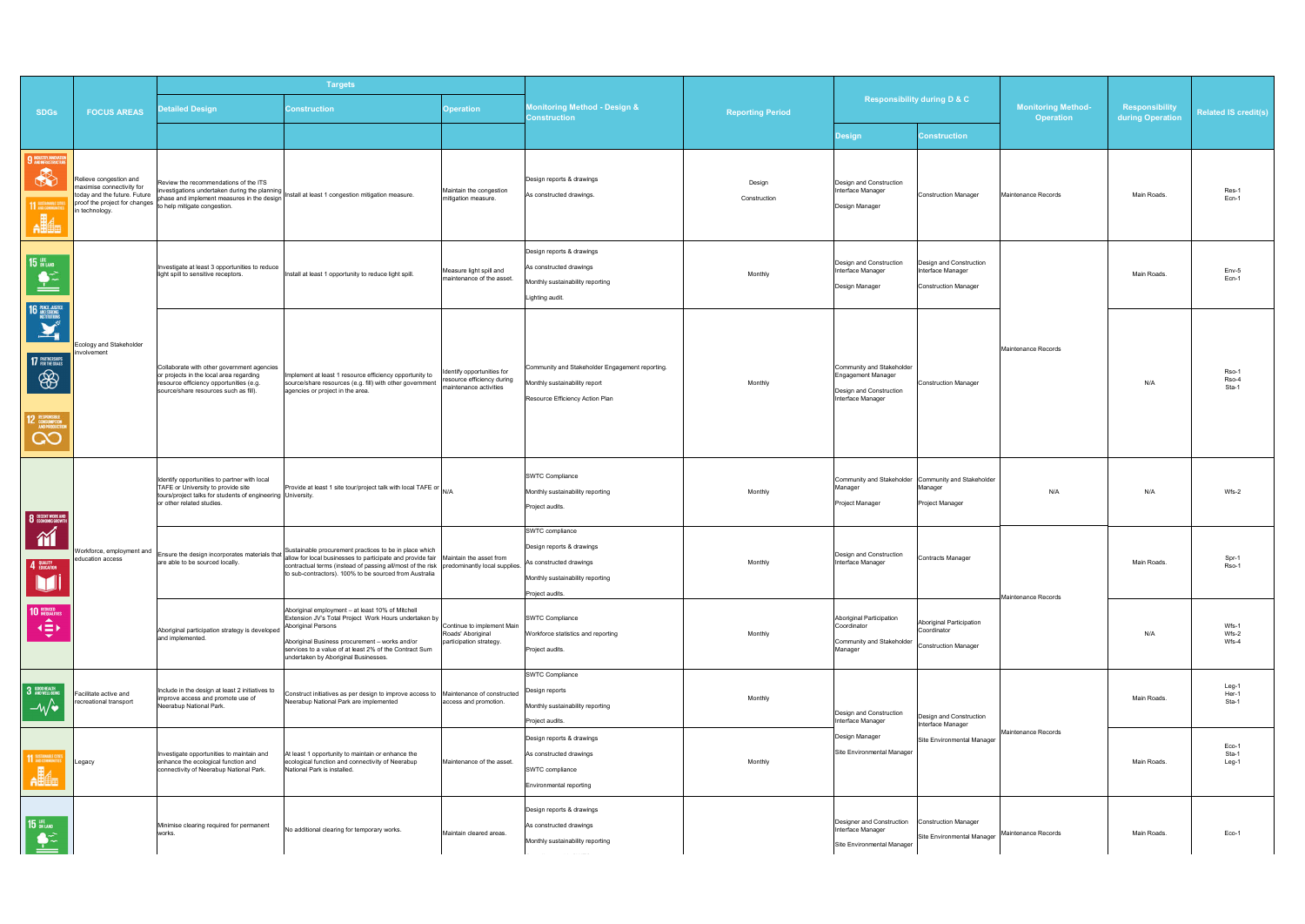|                                                                                                                                              |                                                                                                                                        | <b>Targets</b>                                                                                                                                                                 |                                                                                                                                                                                                                                                                                                |                                                                                  |                                                                                                                                |                         |                                                                                                    |                                                                                   |                                               |                                    |                             |
|----------------------------------------------------------------------------------------------------------------------------------------------|----------------------------------------------------------------------------------------------------------------------------------------|--------------------------------------------------------------------------------------------------------------------------------------------------------------------------------|------------------------------------------------------------------------------------------------------------------------------------------------------------------------------------------------------------------------------------------------------------------------------------------------|----------------------------------------------------------------------------------|--------------------------------------------------------------------------------------------------------------------------------|-------------------------|----------------------------------------------------------------------------------------------------|-----------------------------------------------------------------------------------|-----------------------------------------------|------------------------------------|-----------------------------|
| <b>SDGs</b>                                                                                                                                  | <b>FOCUS AREAS</b>                                                                                                                     | <b>Detailed Design</b>                                                                                                                                                         | <b>Construction</b>                                                                                                                                                                                                                                                                            | <b>Operation</b>                                                                 | <b>Monitoring Method - Design &amp;</b><br><b>Construction</b>                                                                 | <b>Reporting Period</b> | <b>Responsibility during D &amp; C</b>                                                             |                                                                                   | <b>Monitoring Method-</b><br><b>Operation</b> | Responsibility<br>during Operation | <b>Related IS credit(s)</b> |
|                                                                                                                                              |                                                                                                                                        |                                                                                                                                                                                |                                                                                                                                                                                                                                                                                                |                                                                                  |                                                                                                                                |                         | Design                                                                                             | <b>Construction</b>                                                               |                                               |                                    |                             |
| <b>9 NOUSTRY INNOVATION</b><br>*<br>11 EXECUTIVE<br>$\mathbf{A}$                                                                             | Relieve congestion and<br>maximise connectivity for<br>today and the future. Future<br>proof the project for changes<br>in technology. | Review the recommendations of the ITS<br>phase and implement measures in the design<br>to help mitigate congestion.                                                            | evident undertaken during the planning<br>investigations undertaken during the planning<br>and a design linstall at least 1 congestion mitigation measure.                                                                                                                                     | Maintain the congestion<br>mitigation measure.                                   | Design reports & drawings<br>As constructed drawings                                                                           | Design<br>Construction  | Design and Construction<br>Interface Manager<br>Design Manager                                     | <b>Construction Manager</b>                                                       | Maintenance Records                           | Main Roads.                        | Res-1<br>Ecn-1              |
| <b>15 UPE</b><br>$\triangleq$                                                                                                                | cology and Stakeholder<br>volvement                                                                                                    | Investigate at least 3 opportunities to reduce<br>light spill to sensitive receptors.                                                                                          | Install at least 1 opportunity to reduce light spill.                                                                                                                                                                                                                                          | Measure light spill and<br>maintenance of the asset.                             | Design reports & drawings<br>As constructed drawings<br>Monthly sustainability reporting<br>Lighting audit.                    | Monthly                 | Design and Construction<br>Interface Manager<br>Design Manager                                     | Design and Construction<br>Interface Manager<br><b>Construction Manager</b>       | Maintenance Records                           | Main Roads.                        | Env-5<br>Ecn-1              |
| 16 <b>HACE AISTRE</b><br>17 PARTNERSHIPS<br>\$<br>$\begin{array}{c} \hline 12 \ \ \frac{\text{m}}{\text{N}} \\ \hline \text{CO} \end{array}$ |                                                                                                                                        | Collaborate with other government agencies<br>or projects in the local area regarding<br>resource efficiency opportunities (e.g.<br>source/share resources such as fill).      | Implement at least 1 resource efficiency opportunity to<br>source/share resources (e.g. fill) with other government<br>agencies or project in the area.                                                                                                                                        | dentify opportunities for<br>esource efficiency during<br>naintenance activities | Community and Stakeholder Engagement reporting.<br>Monthly sustainability report<br>Resource Efficiency Action Plan            | Monthly                 | Community and Stakeholder<br>Engagement Manager<br>Design and Construction<br>Interface Manager    | <b>Construction Manager</b>                                                       |                                               | N/A                                | Rso-1<br>Rso-4<br>Sta-1     |
| 8 DECENT WORK AND                                                                                                                            |                                                                                                                                        | Identify opportunities to partner with local<br>TAFE or University to provide site<br>tours/project talks for students of engineering University.<br>or other related studies. | Provide at least 1 site tour/project talk with local TAFE or N/A                                                                                                                                                                                                                               |                                                                                  | SWTC Compliance<br>Monthly sustainability reporting<br>Project audits.                                                         | Monthly                 | Manager<br>Project Manager                                                                         | Community and Stakeholder Community and Stakeholder<br>Manager<br>Project Manager | N/A                                           | N/A                                | Wfs-2                       |
| $\gamma$<br>4 EDUCATION<br>M                                                                                                                 | Workforce, employment and<br>education access                                                                                          | are able to be sourced locally.                                                                                                                                                | Ensure the design incorporates materials that Sustainable procurement practices to be in place which<br>ore oble to be coursed locally<br>contractual terms (instead of passing all/most of the risk   predominantly local supplies.<br>to sub-contractors). 100% to be sourced from Australia |                                                                                  | SWTC compliance<br>Design reports & drawings<br>As constructed drawings<br>Monthly sustainability reporting<br>Project audits. | Monthly                 | Design and Construction<br>Interface Manager                                                       | <b>Contracts Manager</b>                                                          | Maintenance Records                           | Main Roads.                        | Spr-1<br>Rso-1              |
| 10 REDUCED<br>$\blacktriangle$<br>49K                                                                                                        |                                                                                                                                        | Aboriginal participation strategy is developed<br>and implemented.                                                                                                             | Aboriginal employment - at least 10% of Mitchell<br>Extension JV's Total Project Work Hours undertaken by<br>Aboriginal Persons<br>Aboriginal Business procurement - works and/or<br>services to a value of at least 2% of the Contract Sum<br>undertaken by Aboriginal Businesses.            | Continue to implement Main<br>Roads' Aboriginal<br>participation strategy.       | SWTC Compliance<br>Workforce statistics and reporting<br>Project audits.                                                       | Monthly                 | Aboriginal Participation<br>Coordinator<br>Community and Stakeholder<br>Manager                    | Aboriginal Participation<br>Coordinator<br><b>Construction Manager</b>            |                                               | N/A                                | Wfs-1<br>Wfs-2<br>Wfs-4     |
| 3 GOOD HEALTH<br>$-\mathcal{W}$                                                                                                              | acilitate active and<br>ecreational transport                                                                                          | Include in the design at least 2 initiatives to<br>improve access and promote use of<br>Neerabup National Park.                                                                | Construct initiatives as per design to improve access to Maintenance of constructed<br>Neerabup National Park are implemented                                                                                                                                                                  | access and promotion.                                                            | SWTC Compliance<br>Design reports<br>Monthly sustainability reporting<br>Project audits.                                       | Monthly                 | Design and Construction<br>Interface Manager                                                       | Design and Construction<br>Interface Manager                                      |                                               | Main Roads.                        | Leg-1<br>Her-1<br>Sta-1     |
| 11 SISTAINABLE CI<br><b>Alle</b>                                                                                                             | .egacy                                                                                                                                 | Investigate opportunities to maintain and<br>enhance the ecological function and<br>connectivity of Neerabup National Park.                                                    | At least 1 opportunity to maintain or enhance the<br>ecological function and connectivity of Neerabup<br>National Park is installed.                                                                                                                                                           | Maintenance of the asset.                                                        | Design reports & drawings<br>As constructed drawings<br>SWTC compliance<br>Environmental reporting                             | Monthly                 | Design Manager<br>Site Environmental Manager                                                       | Site Environmental Manager                                                        | Maintenance Records                           | Main Roads.                        | Eco-1<br>Sta-1<br>Leg-1     |
| 15 UFE<br>$\frac{1}{2}$                                                                                                                      |                                                                                                                                        | Minimise clearing required for permanent<br>works.                                                                                                                             | No additional clearing for temporary works.                                                                                                                                                                                                                                                    | Maintain cleared areas.                                                          | Design reports & drawings<br>As constructed drawings<br>Monthly sustainability reporting<br>المستنبذ المدار<br><b>Contract</b> |                         | Designer and Construction  Construction Manager<br>Interface Manager<br>Site Environmental Manager | Site Environmental Manager                                                        | Maintenance Records                           | Main Roads.                        | Eco-1                       |